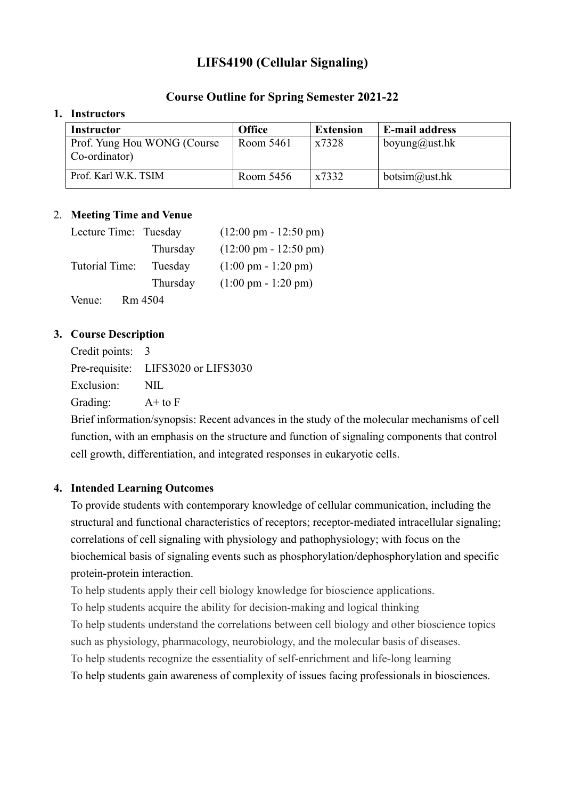# **LIFS4190 (Cellular Signaling)**

### **Course Outline for Spring Semester 2021-22**

#### **1. Instructors**

| <b>Instructor</b>                             | <b>Office</b> | <b>Extension</b> | <b>E-mail address</b>     |
|-----------------------------------------------|---------------|------------------|---------------------------|
| Prof. Yung Hou WONG (Course)<br>Co-ordinator) | Room 5461     | x7328            | boyung@ust.hk             |
| Prof. Karl W.K. TSIM                          | Room 5456     | x7332            | $botsim(\omega u)$ ust.hk |

#### 2. **Meeting Time and Venue**

| Lecture Time: Tuesday |          | $(12:00 \text{ pm} - 12:50 \text{ pm})$ |
|-----------------------|----------|-----------------------------------------|
|                       | Thursday | $(12:00 \text{ pm} - 12:50 \text{ pm})$ |
| Tutorial Time:        | Tuesday  | $(1:00 \text{ pm} - 1:20 \text{ pm})$   |
|                       | Thursday | $(1:00 \text{ pm} - 1:20 \text{ pm})$   |
| Venue:                | Rm 4504  |                                         |

#### **3. Course Description**

Credit points: 3

Pre-requisite: LIFS3020 or LIFS3030 Exclusion: NIL Grading: A+ to F

Brief information/synopsis: Recent advances in the study of the molecular mechanisms of cell function, with an emphasis on the structure and function of signaling components that control cell growth, differentiation, and integrated responses in eukaryotic cells.

### **4. Intended Learning Outcomes**

To provide students with contemporary knowledge of cellular communication, including the structural and functional characteristics of receptors; receptor-mediated intracellular signaling; correlations of cell signaling with physiology and pathophysiology; with focus on the biochemical basis of signaling events such as phosphorylation/dephosphorylation and specific protein-protein interaction.

To help students apply their cell biology knowledge for bioscience applications.

To help students acquire the ability for decision-making and logical thinking

To help students understand the correlations between cell biology and other bioscience topics such as physiology, pharmacology, neurobiology, and the molecular basis of diseases.

To help students recognize the essentiality of self-enrichment and life-long learning

To help students gain awareness of complexity of issues facing professionals in biosciences.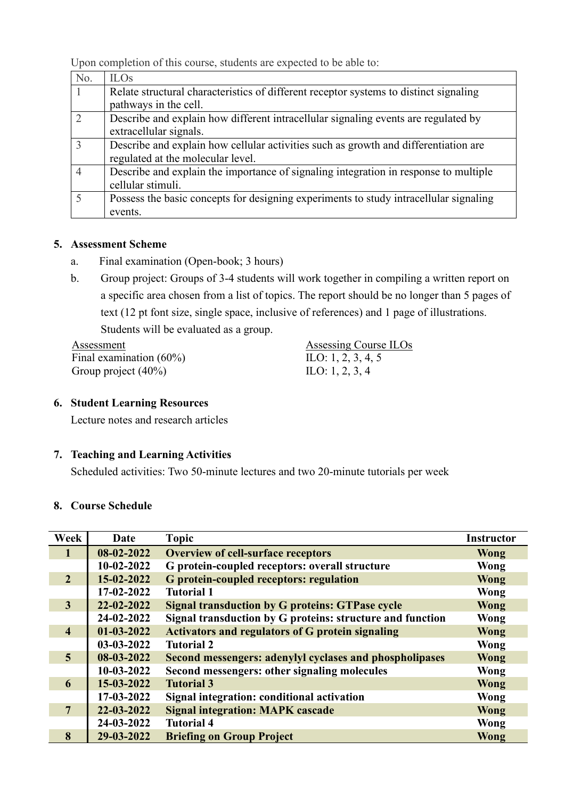Upon completion of this course, students are expected to be able to:

| No.           | <b>ILOs</b>                                                                           |
|---------------|---------------------------------------------------------------------------------------|
|               | Relate structural characteristics of different receptor systems to distinct signaling |
|               | pathways in the cell.                                                                 |
| $\mathcal{D}$ | Describe and explain how different intracellular signaling events are regulated by    |
|               | extracellular signals.                                                                |
| $\mathcal{R}$ | Describe and explain how cellular activities such as growth and differentiation are   |
|               | regulated at the molecular level.                                                     |
| 4             | Describe and explain the importance of signaling integration in response to multiple  |
|               | cellular stimuli.                                                                     |
|               | Possess the basic concepts for designing experiments to study intracellular signaling |
|               | events.                                                                               |

# **5. Assessment Scheme**

- a. Final examination (Open-book; 3 hours)
- b. Group project: Groups of 3-4 students will work together in compiling a written report on a specific area chosen from a list of topics. The report should be no longer than 5 pages of text (12 pt font size, single space, inclusive of references) and 1 page of illustrations. Students will be evaluated as a group.

Assessment Assessing Course ILOs Final examination (60%) Group project (40%)

ILO: 1, 2, 3, 4, 5 ILO: 1, 2, 3, 4

## **6. Student Learning Resources**

Lecture notes and research articles

# **7. Teaching and Learning Activities**

Scheduled activities: Two 50-minute lectures and two 20-minute tutorials per week

## **8. Course Schedule**

| Week           | Date         | <b>Topic</b>                                              | <b>Instructor</b> |
|----------------|--------------|-----------------------------------------------------------|-------------------|
| $\mathbf{1}$   | 08-02-2022   | <b>Overview of cell-surface receptors</b>                 | <b>Wong</b>       |
|                | $10-02-2022$ | G protein-coupled receptors: overall structure            | Wong              |
| $\overline{2}$ | 15-02-2022   | <b>G</b> protein-coupled receptors: regulation            | <b>Wong</b>       |
|                | 17-02-2022   | <b>Tutorial 1</b>                                         | Wong              |
| $\overline{3}$ | 22-02-2022   | <b>Signal transduction by G proteins: GTPase cycle</b>    | Wong              |
|                | 24-02-2022   | Signal transduction by G proteins: structure and function | Wong              |
| $\overline{4}$ | $01-03-2022$ | <b>Activators and regulators of G protein signaling</b>   | <b>Wong</b>       |
|                | 03-03-2022   | <b>Tutorial 2</b>                                         | Wong              |
| $\overline{5}$ | 08-03-2022   | Second messengers: adenylyl cyclases and phospholipases   | <b>Wong</b>       |
|                | $10-03-2022$ | Second messengers: other signaling molecules              | Wong              |
| 6              | 15-03-2022   | <b>Tutorial 3</b>                                         | <b>Wong</b>       |
|                | 17-03-2022   | Signal integration: conditional activation                | Wong              |
| $\overline{7}$ | 22-03-2022   | <b>Signal integration: MAPK cascade</b>                   | Wong              |
|                | 24-03-2022   | <b>Tutorial 4</b>                                         | Wong              |
| 8              | 29-03-2022   | <b>Briefing on Group Project</b>                          | Wong              |